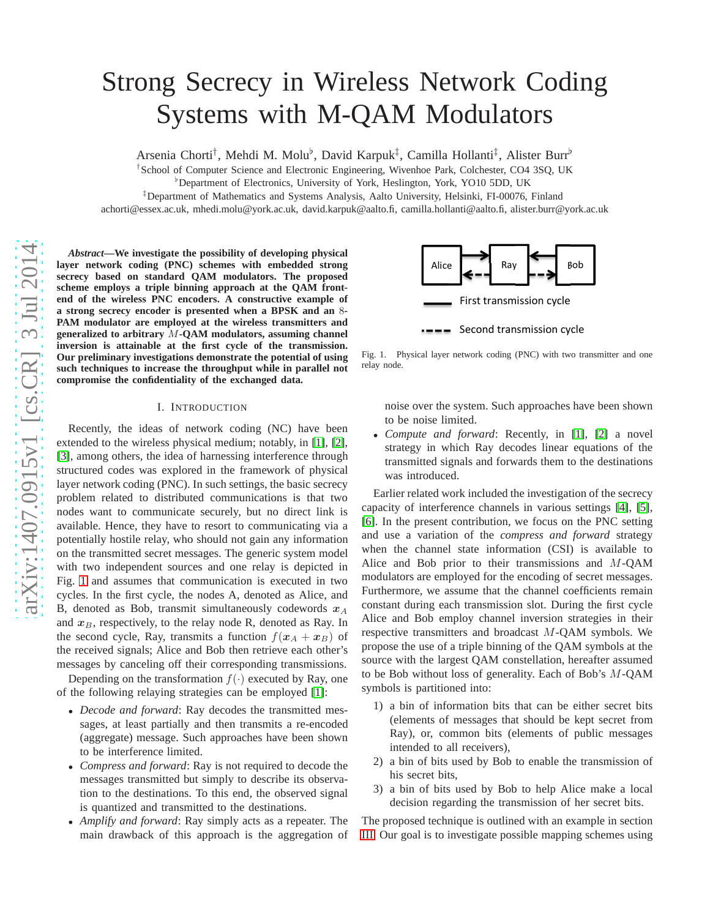# Strong Secrecy in Wireless Network Coding Systems with M-QAM Modulators

Arsenia Chorti<sup>†</sup>, Mehdi M. Molu<sup>b</sup>, David Karpuk<sup>‡</sup>, Camilla Hollanti<sup>‡</sup>, Alister Burr<sup>b</sup>

† School of Computer Science and Electronic Engineering, Wivenhoe Park, Colchester, CO4 3SQ, UK

♭Department of Electronics, University of York, Heslington, York, YO10 5DD, UK

‡Department of Mathematics and Systems Analysis, Aalto University, Helsinki, FI-00076, Finland

achorti@essex.ac.uk, mhedi.molu@york.ac.uk, david.karpuk@aalto.fi, camilla.hollanti@aalto.fi, alister.burr@york.ac.uk

*Abstract***—We investigate the possibility of developing physical layer network coding (PNC) schemes with embedded strong secrecy based on standard QAM modulators. The proposed scheme employs a triple binning approach at the QAM frontend of the wireless PNC encoders. A constructive example of** a strong secrecy encoder is presented when a BPSK and an 8-**PAM modulator are employed at the wireless transmitters and generalized to arbitrary** M**-QAM modulators, assuming channel inversion is attainable at the first cycle of the transmission. Our preliminary investigations demonstrate the potential of using such techniques to increase the throughput while in parallel not compromise the confidentiality of the exchanged data.**

## I. INTRODUCTION

Recently, the ideas of network coding (NC) have been extended to the wireless physical medium; notably, in [\[1\]](#page-5-0), [\[2\]](#page-5-1), [\[3\]](#page-5-2), among others, the idea of harnessing interference through structured codes was explored in the framework of physical layer network coding (PNC). In such settings, the basic secrecy problem related to distributed communications is that two nodes want to communicate securely, but no direct link is available. Hence, they have to resort to communicating via a potentially hostile relay, who should not gain any information on the transmitted secret messages. The generic system mode l with two independent sources and one relay is depicted in Fig. [1](#page-0-0) and assumes that communication is executed in two cycles. In the first cycle, the nodes A, denoted as Alice, and B, denoted as Bob, transmit simultaneously codewords  $x_A$ and  $x_B$ , respectively, to the relay node R, denoted as Ray. In the second cycle, Ray, transmits a function  $f(x_A + x_B)$  of the received signals; Alice and Bob then retrieve each other's messages by canceling off their corresponding transmissions.

Depending on the transformation  $f(\cdot)$  executed by Ray, one of the following relaying strategies can be employed [\[1\]](#page-5-0):

- *Decode and forward*: Ray decodes the transmitted messages, at least partially and then transmits a re-encoded (aggregate) message. Such approaches have been shown to be interference limited.
- *Compress and forward*: Ray is not required to decode the messages transmitted but simply to describe its observation to the destinations. To this end, the observed signal is quantized and transmitted to the destinations.
- *Amplify and forward*: Ray simply acts as a repeater. The main drawback of this approach is the aggregation of



<span id="page-0-0"></span>Fig. 1. Physical layer network coding (PNC) with two transmitter and one relay node.

noise over the system. Such approaches have been shown to be noise limited.

• *Compute and forward*: Recently, in [\[1\]](#page-5-0), [\[2\]](#page-5-1) a novel strategy in which Ray decodes linear equations of the transmitted signals and forwards them to the destinations was introduced.

Earlier related work included the investigation of the secrecy capacity of interference channels in various settings [\[4\]](#page-5-3), [\[5\]](#page-5-4), [\[6\]](#page-5-5). In the present contribution, we focus on the PNC setting and use a variation of the *compress and forward* strategy when the channel state information (CSI) is available to Alice and Bob prior to their transmissions and M-QAM modulators are employed for the encoding of secret messages . Furthermore, we assume that the channel coefficients remain constant during each transmission slot. During the first cycle Alice and Bob employ channel inversion strategies in their respective transmitters and broadcast M-QAM symbols. We propose the use of a triple binning of the QAM symbols at the source with the largest QAM constellation, hereafter assumed to be Bob without loss of generality. Each of Bob's M-QAM symbols is partitioned into:

- 1) a bin of information bits that can be either secret bits (elements of messages that should be kept secret from Ray), or, common bits (elements of public messages intended to all receivers),
- 2) a bin of bits used by Bob to enable the transmission of his secret bits,
- 3) a bin of bits used by Bob to help Alice make a local decision regarding the transmission of her secret bits.

The proposed technique is outlined with an example in sectio n [III.](#page-2-0) Our goal is to investigate possible mapping schemes using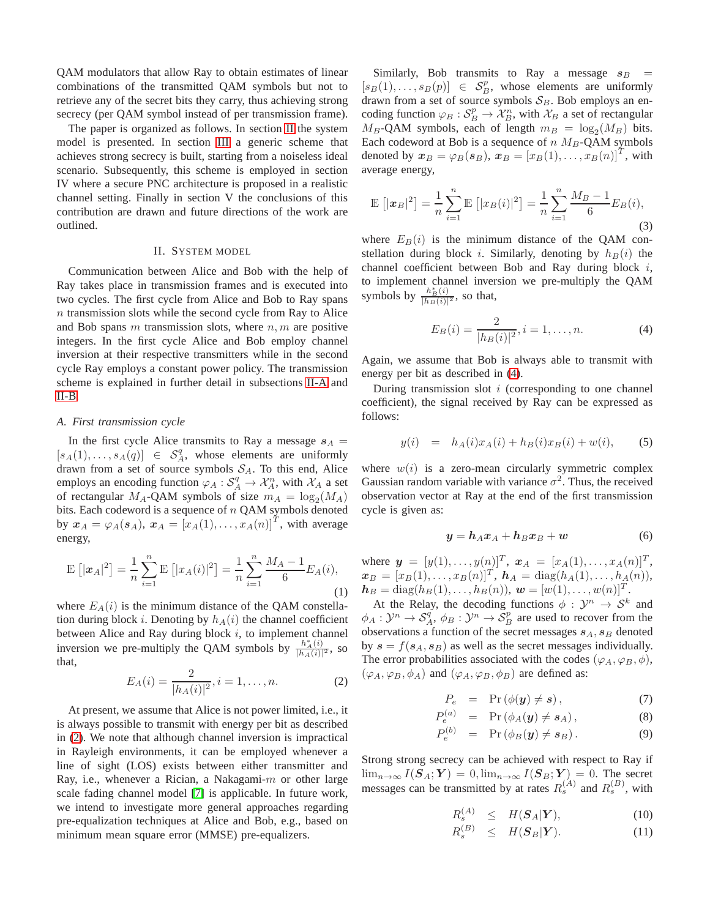QAM modulators that allow Ray to obtain estimates of linear combinations of the transmitted QAM symbols but not to retrieve any of the secret bits they carry, thus achieving strong secrecy (per QAM symbol instead of per transmission frame).

The paper is organized as follows. In section [II](#page-1-0) the system model is presented. In section [III](#page-2-0) a generic scheme that achieves strong secrecy is built, starting from a noiseless ideal scenario. Subsequently, this scheme is employed in section IV where a secure PNC architecture is proposed in a realistic channel setting. Finally in section V the conclusions of this contribution are drawn and future directions of the work are outlined.

#### II. SYSTEM MODEL

<span id="page-1-0"></span>Communication between Alice and Bob with the help of Ray takes place in transmission frames and is executed into two cycles. The first cycle from Alice and Bob to Ray spans  $n$  transmission slots while the second cycle from Ray to Alice and Bob spans m transmission slots, where  $n, m$  are positive integers. In the first cycle Alice and Bob employ channel inversion at their respective transmitters while in the second cycle Ray employs a constant power policy. The transmission scheme is explained in further detail in subsections [II-A](#page-1-1) and [II-B.](#page-2-1)

## <span id="page-1-1"></span>*A. First transmission cycle*

In the first cycle Alice transmits to Ray a message  $s_A =$  $[s_A(1),..., s_A(q)] \in S_A^q$ , whose elements are uniformly drawn from a set of source symbols  $S_A$ . To this end, Alice employs an encoding function  $\varphi_A : S_A^q \to \mathcal{X}_A^n$ , with  $\mathcal{X}_A$  a set of rectangular  $M_A$ -QAM symbols of size  $m_A = \log_2(M_A)$ bits. Each codeword is a sequence of  $n$  QAM symbols denoted by  $x_A = \varphi_A(s_A), x_A = [x_A(1), \ldots, x_A(n)]^T$ , with average energy,

$$
\mathbb{E}\left[|\mathbf{x}_A|^2\right] = \frac{1}{n} \sum_{i=1}^n \mathbb{E}\left[|x_A(i)|^2\right] = \frac{1}{n} \sum_{i=1}^n \frac{M_A - 1}{6} E_A(i),\tag{1}
$$

where  $E_A(i)$  is the minimum distance of the QAM constellation during block *i*. Denoting by  $h_A(i)$  the channel coefficient between Alice and Ray during block  $i$ , to implement channel inversion we pre-multiply the QAM symbols by  $\frac{h^*(i)}{h^*(i)}$  $\frac{h_A(i)}{|h_A(i)|^2}$ , so that,

<span id="page-1-2"></span>
$$
E_A(i) = \frac{2}{|h_A(i)|^2}, i = 1, \dots, n.
$$
 (2)

At present, we assume that Alice is not power limited, i.e., it is always possible to transmit with energy per bit as described in [\(2\)](#page-1-2). We note that although channel inversion is impractical in Rayleigh environments, it can be employed whenever a line of sight (LOS) exists between either transmitter and Ray, i.e., whenever a Rician, a Nakagami-m or other large scale fading channel model [\[7\]](#page-5-6) is applicable. In future work, we intend to investigate more general approaches regarding pre-equalization techniques at Alice and Bob, e.g., based on minimum mean square error (MMSE) pre-equalizers.

Similarly, Bob transmits to Ray a message  $s_B$  =  $[s_B(1), \ldots, s_B(p)] \in S_B^p$ , whose elements are uniformly drawn from a set of source symbols  $S_B$ . Bob employs an encoding function  $\varphi_B : S_B^p \to \mathcal{X}_B^n$ , with  $\mathcal{X}_B$  a set of rectangular  $M_B$ -QAM symbols, each of length  $m_B = \log_2(M_B)$  bits. Each codeword at Bob is a sequence of  $n$   $M_B$ -QAM symbols denoted by  $x_B = \varphi_B(s_B)$ ,  $x_B = [x_B(1), \dots, x_B(n)]^T$ , with average energy,

$$
\mathbb{E}\left[|\mathbf{x}_B|^2\right] = \frac{1}{n} \sum_{i=1}^n \mathbb{E}\left[|x_B(i)|^2\right] = \frac{1}{n} \sum_{i=1}^n \frac{M_B - 1}{6} E_B(i),\tag{3}
$$

where  $E_B(i)$  is the minimum distance of the QAM constellation during block *i*. Similarly, denoting by  $h_B(i)$  the channel coefficient between Bob and Ray during block i, to implement channel inversion we pre-multiply the QAM symbols by  $\frac{h_B^*(i)}{|h_B(i)|}$  $\frac{h_B(i)}{|h_B(i)|^2}$ , so that,

<span id="page-1-3"></span>
$$
E_B(i) = \frac{2}{|h_B(i)|^2}, i = 1, \dots, n.
$$
 (4)

Again, we assume that Bob is always able to transmit with energy per bit as described in [\(4\)](#page-1-3).

During transmission slot  $i$  (corresponding to one channel coefficient), the signal received by Ray can be expressed as follows:

$$
y(i) = h_A(i)x_A(i) + h_B(i)x_B(i) + w(i), \qquad (5)
$$

where  $w(i)$  is a zero-mean circularly symmetric complex Gaussian random variable with variance  $\sigma^2$ . Thus, the received observation vector at Ray at the end of the first transmission cycle is given as:

$$
y = h_A x_A + h_B x_B + w \tag{6}
$$

where  $y = [y(1), ..., y(n)]^T$ ,  $x_A = [x_A(1), ..., x_A(n)]^T$ ,  $\mathbf{x}_B = [x_B(1), \ldots, x_B(n)]^T$ ,  $\mathbf{h}_A = \text{diag}(h_A(1), \ldots, h_A(n)),$  $h_B = \text{diag}(h_B(1), \ldots, h_B(n)), w = [w(1), \ldots, w(n)]^T.$ 

At the Relay, the decoding functions  $\phi : \mathcal{Y}^n \to \mathcal{S}^k$  and  $\phi_A: \mathcal{Y}^n \to \mathcal{S}_A^q$ ,  $\phi_B: \mathcal{Y}^n \to \mathcal{S}_B^p$  are used to recover from the observations a function of the secret messages  $s_A$ ,  $s_B$  denoted by  $s = f(s_A, s_B)$  as well as the secret messages individually. The error probabilities associated with the codes  $(\varphi_A, \varphi_B, \phi)$ ,  $(\varphi_A, \varphi_B, \phi_A)$  and  $(\varphi_A, \varphi_B, \phi_B)$  are defined as:

$$
P_e = \Pr(\phi(\mathbf{y}) \neq \mathbf{s}), \tag{7}
$$

$$
P_e^{(a)} = \Pr(\phi_A(\mathbf{y}) \neq \mathbf{s}_A), \tag{8}
$$

$$
P_e^{(b)} = \Pr(\phi_B(\mathbf{y}) \neq \mathbf{s}_B). \tag{9}
$$

Strong strong secrecy can be achieved with respect to Ray if  $\lim_{n\to\infty} I(\mathbf{S}_A; \mathbf{Y}) = 0$ ,  $\lim_{n\to\infty} I(\mathbf{S}_B; \mathbf{Y}) = 0$ . The secret messages can be transmitted by at rates  $R_s^{(A)}$  and  $R_s^{(B)}$ , with

$$
R_s^{(A)} \leq H(\mathbf{S}_A|\mathbf{Y}), \tag{10}
$$

$$
R_s^{(B)} \leq H(\mathbf{S}_B|\mathbf{Y}). \tag{11}
$$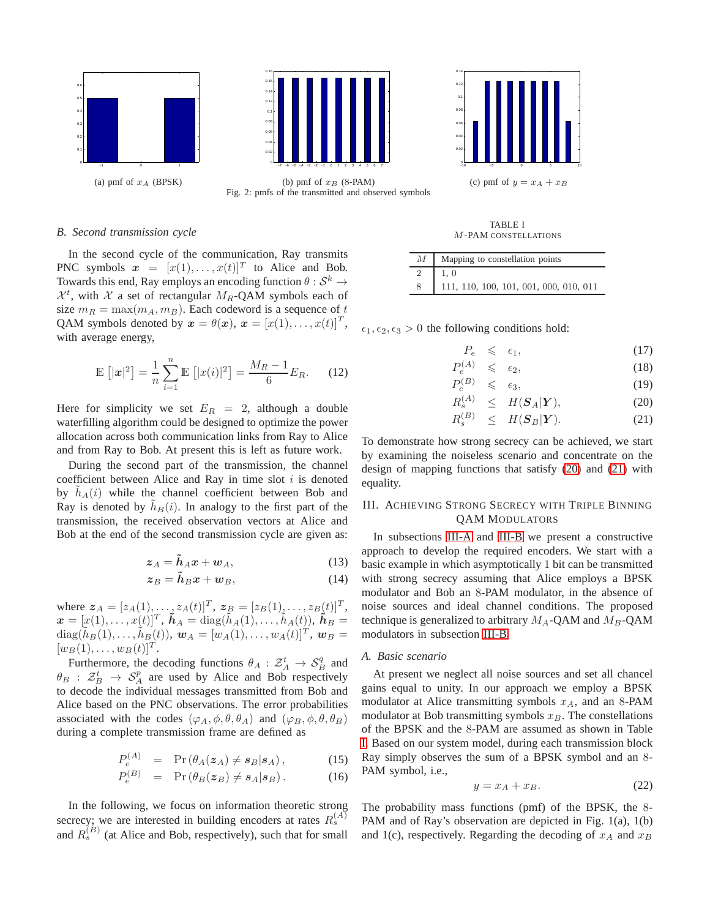



(a) pmf of  $x_A$  (BPSK) (b) pmf of  $x_B$  (8-PAM) (c) pmf of  $y = x_A + x_B$ Fig. 2: pmfs of the transmitted and observed symbols

### <span id="page-2-1"></span>*B. Second transmission cycle*

In the second cycle of the communication, Ray transmits PNC symbols  $\mathbf{x} = [x(1), \dots, x(t)]^T$  to Alice and Bob. Towards this end, Ray employs an encoding function  $\theta : \mathcal{S}^k \to$  $\mathcal{X}^t$ , with  $\mathcal X$  a set of rectangular  $M_R$ -QAM symbols each of size  $m_R = \max(m_A, m_B)$ . Each codeword is a sequence of t QAM symbols denoted by  $\mathbf{x} = \theta(\mathbf{x}), \mathbf{x} = [x(1), \dots, x(t)]^T$ , with average energy,

$$
\mathbb{E}\left[|\mathbf{x}|^2\right] = \frac{1}{n} \sum_{i=1}^n \mathbb{E}\left[|x(i)|^2\right] = \frac{M_R - 1}{6} E_R.
$$
 (12)

Here for simplicity we set  $E_R = 2$ , although a double waterfilling algorithm could be designed to optimize the power allocation across both communication links from Ray to Alice and from Ray to Bob. At present this is left as future work.

During the second part of the transmission, the channel coefficient between Alice and Ray in time slot  $i$  is denoted by  $h_A(i)$  while the channel coefficient between Bob and Ray is denoted by  $h_B(i)$ . In analogy to the first part of the transmission, the received observation vectors at Alice and Bob at the end of the second transmission cycle are given as:

$$
z_A = \tilde{h}_A x + w_A, \tag{13}
$$

$$
z_B = \tilde{h}_B x + w_B, \qquad (14)
$$

where  $z_A = [z_A(1), \dots, z_A(t)]^T$ ,  $z_B = [z_B(1), \dots, z_B(t)]^T$ ,  $\mathbf{x} = [x(1), \ldots, x(t)]^T$ ,  $\tilde{\mathbf{h}}_A = \text{diag}(\tilde{h}_A(1), \ldots, \tilde{h}_A(t)), \tilde{\mathbf{h}}_B =$  $diag(\tilde{h}_B(1), \ldots, \tilde{h}_B(t)), \ \boldsymbol{w}_A = [\tilde{w}_A(1), \ldots, \tilde{w}_A(t)]^T, \ \boldsymbol{w}_B =$  $[w_B(1), \ldots, w_B(t)]^T$ .

Furthermore, the decoding functions  $\theta_A : \mathcal{Z}_A^t \to \mathcal{S}_B^q$  and  $\theta_B$  :  $\mathcal{Z}_B^t$   $\rightarrow$   $\mathcal{S}_A^p$  are used by Alice and Bob respectively to decode the individual messages transmitted from Bob and Alice based on the PNC observations. The error probabilities associated with the codes  $(\varphi_A, \phi, \theta, \theta_A)$  and  $(\varphi_B, \phi, \theta, \theta_B)$ during a complete transmission frame are defined as

$$
P_e^{(A)} = \Pr(\theta_A(z_A) \neq s_B | s_A), \tag{15}
$$

$$
P_e^{(B)} = \Pr(\theta_B(z_B) \neq s_A|s_B). \tag{16}
$$

In the following, we focus on information theoretic strong secrecy; we are interested in building encoders at rates  $R_s^{(A)}$ and  $R_s^{(B)}$  (at Alice and Bob, respectively), such that for small

TABLE I

M-PAM CONSTELLATIONS

<span id="page-2-4"></span>

|   | $M$   Mapping to constellation points  |  |  |  |  |  |  |  |  |
|---|----------------------------------------|--|--|--|--|--|--|--|--|
| 2 | 1.0                                    |  |  |  |  |  |  |  |  |
| 8 | 111, 110, 100, 101, 001, 000, 010, 011 |  |  |  |  |  |  |  |  |

 $\epsilon_1, \epsilon_2, \epsilon_3 > 0$  the following conditions hold:

<span id="page-2-2"></span>
$$
P_e \leqslant \epsilon_1,\tag{17}
$$

$$
P_e^{(A)} \leqslant \epsilon_2,\tag{18}
$$

$$
P_e^{(B)} \leq \epsilon_3,\tag{19}
$$

$$
R_s^{(A)} \leq H(\mathbf{S}_A|\mathbf{Y}), \tag{20}
$$

$$
R_s^{(B)} \leq H(\mathbf{S}_B|\mathbf{Y}). \tag{21}
$$

To demonstrate how strong secrecy can be achieved, we start by examining the noiseless scenario and concentrate on the design of mapping functions that satisfy [\(20\)](#page-2-2) and [\(21\)](#page-2-2) with equality.

## <span id="page-2-0"></span>III. ACHIEVING STRONG SECRECY WITH TRIPLE BINNING QAM MODULATORS

In subsections [III-A](#page-2-3) and [III-B](#page-4-0) we present a constructive approach to develop the required encoders. We start with a basic example in which asymptotically 1 bit can be transmitted with strong secrecy assuming that Alice employs a BPSK modulator and Bob an 8-PAM modulator, in the absence of noise sources and ideal channel conditions. The proposed technique is generalized to arbitrary  $M_A$ -QAM and  $M_B$ -QAM modulators in subsection [III-B.](#page-4-0)

#### <span id="page-2-3"></span>*A. Basic scenario*

At present we neglect all noise sources and set all chancel gains equal to unity. In our approach we employ a BPSK modulator at Alice transmitting symbols  $x_A$ , and an 8-PAM modulator at Bob transmitting symbols  $x_B$ . The constellations of the BPSK and the 8-PAM are assumed as shown in Table [I.](#page-2-4) Based on our system model, during each transmission block Ray simply observes the sum of a BPSK symbol and an 8- PAM symbol, i.e.,

<span id="page-2-5"></span>
$$
y = x_A + x_B. \tag{22}
$$

The probability mass functions (pmf) of the BPSK, the 8- PAM and of Ray's observation are depicted in Fig. 1(a), 1(b) and 1(c), respectively. Regarding the decoding of  $x_A$  and  $x_B$ 

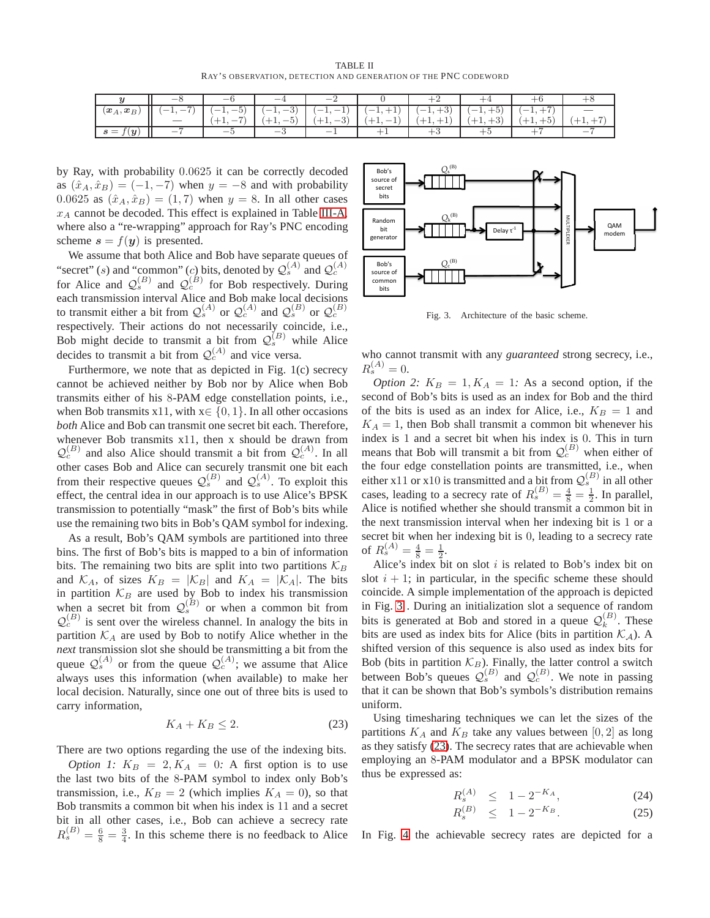TABLE II RAY'S OBSERVATION, DETECTION AND GENERATION OF THE PNC CODEWORD

|                                        | $-$                                                                                   | $-$                                                  | $\overline{\phantom{a}}$ | _               |            |                                  |                                               |                           |            |
|----------------------------------------|---------------------------------------------------------------------------------------|------------------------------------------------------|--------------------------|-----------------|------------|----------------------------------|-----------------------------------------------|---------------------------|------------|
| $(\boldsymbol{x}_A, \boldsymbol{x}_B)$ | $\overline{\phantom{0}}$<br>$\overline{\phantom{a}}$<br>$\overline{\phantom{a}}$<br>. | $\overline{\phantom{0}}$<br>$-1$<br>ು :<br><b>1,</b> | $(-1,-3)$                | $(-1, -1)$      | $(-1, +1)$ | $\Omega$<br>$-1, \cdot$<br>$+3)$ | $+5)$<br>$\overline{\phantom{0}}$<br>$\bot$ , | $\rightarrow$<br><b>1</b> |            |
|                                        |                                                                                       |                                                      |                          | $\Omega$<br>․ ․ | . .        |                                  |                                               |                           | <b>. .</b> |
| (y)<br>$s =$                           | _                                                                                     |                                                      | _                        | _               |            |                                  |                                               |                           | _          |

by Ray, with probability 0.0625 it can be correctly decoded as  $(\hat{x}_A, \hat{x}_B) = (-1, -7)$  when  $y = -8$  and with probability 0.0625 as  $(\hat{x}_A, \hat{x}_B) = (1, 7)$  when  $y = 8$ . In all other cases  $x_A$  cannot be decoded. This effect is explained in Table [III-A,](#page-2-5) where also a "re-wrapping" approach for Ray's PNC encoding scheme  $s = f(y)$  is presented.

We assume that both Alice and Bob have separate queues of "secret" (s) and "common" (c) bits, denoted by  $Q_s^{(A)}$  and  $Q_c^{(A)}$ for Alice and  $Q_s^{(B)}$  and  $Q_c^{(B)}$  for Bob respectively. During each transmission interval Alice and Bob make local decisions to transmit either a bit from  $\mathcal{Q}_s^{(A)}$  or  $\mathcal{Q}_c^{(A)}$  and  $\mathcal{Q}_s^{(B)}$  or  $\mathcal{Q}_c^{(B)}$ respectively. Their actions do not necessarily coincide, i.e., Bob might decide to transmit a bit from  $\mathcal{Q}_s^{(B)}$  while Alice decides to transmit a bit from  $Q_c^{(A)}$  and vice versa.

Furthermore, we note that as depicted in Fig. 1(c) secrecy cannot be achieved neither by Bob nor by Alice when Bob transmits either of his 8-PAM edge constellation points, i.e., when Bob transmits x11, with  $x \in \{0, 1\}$ . In all other occasions *both* Alice and Bob can transmit one secret bit each. Therefore, whenever Bob transmits x11, then x should be drawn from  $Q_c^{(B)}$  and also Alice should transmit a bit from  $Q_c^{(A)}$ . In all other cases Bob and Alice can securely transmit one bit each from their respective queues  $Q_s^{(B)}$  and  $Q_s^{(A)}$ . To exploit this effect, the central idea in our approach is to use Alice's BPSK transmission to potentially "mask" the first of Bob's bits while use the remaining two bits in Bob's QAM symbol for indexing.

As a result, Bob's QAM symbols are partitioned into three bins. The first of Bob's bits is mapped to a bin of information bits. The remaining two bits are split into two partitions  $\mathcal{K}_B$ and  $\mathcal{K}_A$ , of sizes  $K_B = |\mathcal{K}_B|$  and  $K_A = |\mathcal{K}_A|$ . The bits in partition  $\mathcal{K}_B$  are used by Bob to index his transmission when a secret bit from  $Q_s^{(B)}$  or when a common bit from  $Q_c^{(B)}$  is sent over the wireless channel. In analogy the bits in partition  $K_A$  are used by Bob to notify Alice whether in the *next* transmission slot she should be transmitting a bit from the queue  $Q_s^{(A)}$  or from the queue  $Q_c^{(A)}$ ; we assume that Alice always uses this information (when available) to make her local decision. Naturally, since one out of three bits is used to carry information,

<span id="page-3-1"></span>
$$
K_A + K_B \le 2. \tag{23}
$$

There are two options regarding the use of the indexing bits.

*Option 1:*  $K_B = 2, K_A = 0$ : A first option is to use the last two bits of the 8-PAM symbol to index only Bob's transmission, i.e.,  $K_B = 2$  (which implies  $K_A = 0$ ), so that Bob transmits a common bit when his index is 11 and a secret bit in all other cases, i.e., Bob can achieve a secrecy rate  $R_s^{(B)} = \frac{6}{8} = \frac{3}{4}$ . In this scheme there is no feedback to Alice



<span id="page-3-0"></span>Fig. 3. Architecture of the basic scheme.

who cannot transmit with any *guaranteed* strong secrecy, i.e.,  $R_s^{(A)} = 0.$ 

*Option 2:*  $K_B = 1, K_A = 1$ : As a second option, if the second of Bob's bits is used as an index for Bob and the third of the bits is used as an index for Alice, i.e.,  $K_B = 1$  and  $K_A = 1$ , then Bob shall transmit a common bit whenever his index is 1 and a secret bit when his index is 0. This in turn means that Bob will transmit a bit from  $Q_c^{(B)}$  when either of the four edge constellation points are transmitted, i.e., when either x11 or x10 is transmitted and a bit from  $Q_s^{(B)}$  in all other cases, leading to a secrecy rate of  $R_s^{(B)} = \frac{4}{8} = \frac{1}{2}$ . In parallel, Alice is notified whether she should transmit a common bit in the next transmission interval when her indexing bit is 1 or a secret bit when her indexing bit is 0, leading to a secrecy rate of  $R_s^{(A)} = \frac{4}{8} = \frac{1}{2}$ .

Alice's index bit on slot  $i$  is related to Bob's index bit on slot  $i + 1$ ; in particular, in the specific scheme these should coincide. A simple implementation of the approach is depicted in Fig. [3](#page-3-0) . During an initialization slot a sequence of random bits is generated at Bob and stored in a queue  $\mathcal{Q}_k^{(B)}$ . These bits are used as index bits for Alice (bits in partition  $\mathcal{K}_{\mathcal{A}}$ ). A shifted version of this sequence is also used as index bits for Bob (bits in partition  $\mathcal{K}_B$ ). Finally, the latter control a switch between Bob's queues  $Q_s^{(B)}$  and  $Q_c^{(B)}$ . We note in passing that it can be shown that Bob's symbols's distribution remains uniform.

Using timesharing techniques we can let the sizes of the partitions  $K_A$  and  $K_B$  take any values between [0, 2] as long as they satisfy [\(23\)](#page-3-1). The secrecy rates that are achievable when employing an 8-PAM modulator and a BPSK modulator can thus be expressed as:

$$
R_s^{(A)} \leq 1 - 2^{-K_A}, \tag{24}
$$

$$
R_s^{(B)} \leq 1 - 2^{-K_B}.\tag{25}
$$

In Fig. [4](#page-4-1) the achievable secrecy rates are depicted for a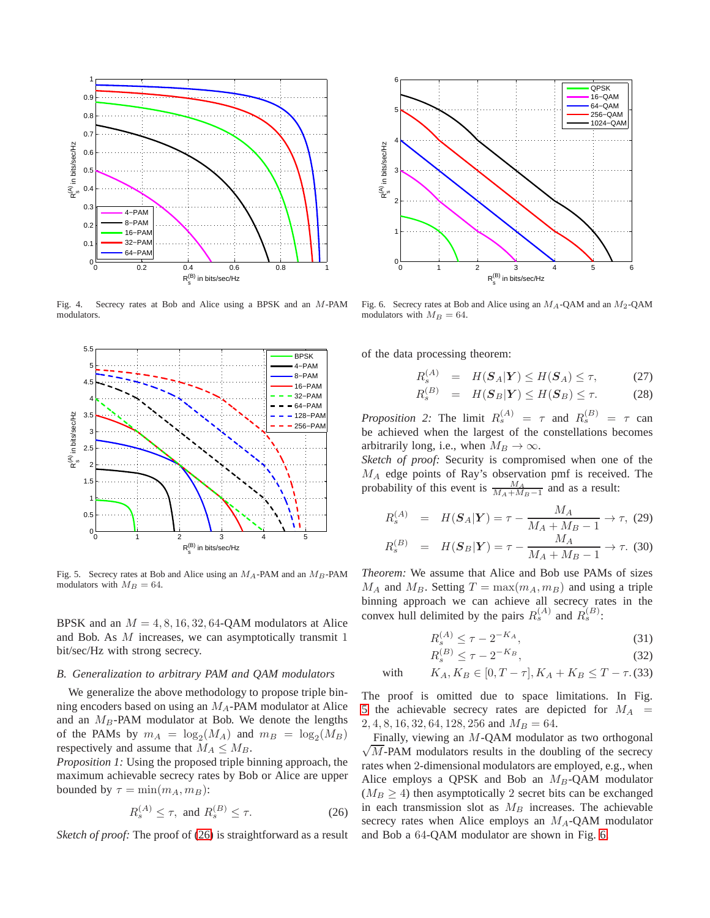

<span id="page-4-1"></span>Fig. 4. Secrecy rates at Bob and Alice using a BPSK and an M-PAM modulators.



<span id="page-4-3"></span>Fig. 5. Secrecy rates at Bob and Alice using an  $M_A$ -PAM and an  $M_B$ -PAM modulators with  $M_B = 64$ .

BPSK and an  $M = 4, 8, 16, 32, 64$ -QAM modulators at Alice and Bob. As M increases, we can asymptotically transmit 1 bit/sec/Hz with strong secrecy.

## <span id="page-4-0"></span>*B. Generalization to arbitrary PAM and QAM modulators*

We generalize the above methodology to propose triple binning encoders based on using an  $M_A$ -PAM modulator at Alice and an  $M_B$ -PAM modulator at Bob. We denote the lengths of the PAMs by  $m_A = \log_2(M_A)$  and  $m_B = \log_2(M_B)$ respectively and assume that  $M_A \leq M_B$ .

*Proposition 1:* Using the proposed triple binning approach, the maximum achievable secrecy rates by Bob or Alice are upper bounded by  $\tau = \min(m_A, m_B)$ :

<span id="page-4-2"></span>
$$
R_s^{(A)} \le \tau, \text{ and } R_s^{(B)} \le \tau. \tag{26}
$$

*Sketch of proof:* The proof of [\(26\)](#page-4-2) is straightforward as a result



<span id="page-4-4"></span>Fig. 6. Secrecy rates at Bob and Alice using an  $M_A$ -QAM and an  $M_2$ -QAM modulators with  $M_B = 64$ .

of the data processing theorem:

R

$$
R_s^{(A)} = H(\mathbf{S}_A|\mathbf{Y}) \le H(\mathbf{S}_A) \le \tau, \tag{27}
$$

$$
R_s^{(B)} = H(\mathbf{S}_B|\mathbf{Y}) \le H(\mathbf{S}_B) \le \tau. \tag{28}
$$

*Proposition 2:* The limit  $R_s^{(A)} = \tau$  and  $R_s^{(B)} = \tau$  can be achieved when the largest of the constellations becomes arbitrarily long, i.e., when  $M_B \to \infty$ .

*Sketch of proof:* Security is compromised when one of the  $M_A$  edge points of Ray's observation pmf is received. The probability of this event is  $\frac{M_A}{M_A + M_B - 1}$  and as a result:

$$
R_s^{(A)} = H(\mathbf{S}_A | \mathbf{Y}) = \tau - \frac{M_A}{M_A + M_B - 1} \to \tau, (29)
$$
  

$$
R_s^{(B)} = H(\mathbf{S}_B | \mathbf{Y}) = \tau - \frac{M_A}{M_A + M_B - 1} \to \tau. (30)
$$

Theorem: We assume that Alice and Bob use PAMs of sizes 
$$
M_A
$$
 and  $M_B$ . Setting  $T = \max(m_A, m_B)$  and using a triple  
binning approach we can achieve all secrecy rates in the  
convex hull delimited by the pairs  $R_s^{(A)}$  and  $R_s^{(B)}$ :

$$
R_s^{(A)} \le \tau - 2^{-K_A},\tag{31}
$$

$$
R_s^{(B)} \le \tau - 2^{-K_B},\tag{32}
$$

with 
$$
K_A, K_B \in [0, T - \tau], K_A + K_B \leq T - \tau
$$
. (33)

The proof is omitted due to space limitations. In Fig. [5](#page-4-3) the achievable secrecy rates are depicted for  $M_A$  =  $2, 4, 8, 16, 32, 64, 128, 256$  and  $M_B = 64$ .

 $\sqrt{M}$ -PAM modulators results in the doubling of the secrecy Finally, viewing an M-QAM modulator as two orthogonal rates when 2-dimensional modulators are employed, e.g., when Alice employs a QPSK and Bob an  $M_B$ -QAM modulator  $(M_B \geq 4)$  then asymptotically 2 secret bits can be exchanged in each transmission slot as  $M_B$  increases. The achievable secrecy rates when Alice employs an  $M_A$ -QAM modulator and Bob a 64-QAM modulator are shown in Fig. [6.](#page-4-4)